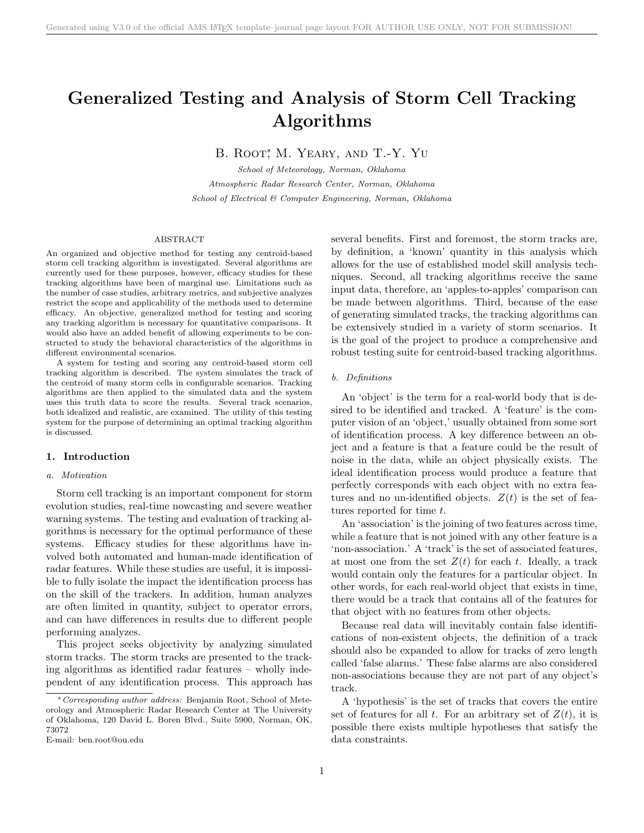# Generalized Testing and Analysis of Storm Cell Tracking Algorithms

B. ROOT<sup>\*</sup>, M. YEARY, AND T.-Y. YU

School of Meteorology, Norman, Oklahoma Atmospheric Radar Research Center, Norman, Oklahoma School of Electrical & Computer Engineering, Norman, Oklahoma

#### ABSTRACT

An organized and objective method for testing any centroid-based storm cell tracking algorithm is investigated. Several algorithms are currently used for these purposes, however, efficacy studies for these tracking algorithms have been of marginal use. Limitations such as the number of case studies, arbitrary metrics, and subjective analyzes restrict the scope and applicability of the methods used to determine efficacy. An objective, generalized method for testing and scoring any tracking algorithm is necessary for quantitative comparisons. It would also have an added benefit of allowing experiments to be constructed to study the behavioral characteristics of the algorithms in different environmental scenarios.

A system for testing and scoring any centroid-based storm cell tracking algorithm is described. The system simulates the track of the centroid of many storm cells in configurable scenarios. Tracking algorithms are then applied to the simulated data and the system uses this truth data to score the results. Several track scenarios, both idealized and realistic, are examined. The utility of this testing system for the purpose of determining an optimal tracking algorithm is discussed.

### 1. Introduction

# a. Motivation

Storm cell tracking is an important component for storm evolution studies, real-time nowcasting and severe weather warning systems. The testing and evaluation of tracking algorithms is necessary for the optimal performance of these systems. Efficacy studies for these algorithms have involved both automated and human-made identification of radar features. While these studies are useful, it is impossible to fully isolate the impact the identification process has on the skill of the trackers. In addition, human analyzes are often limited in quantity, subject to operator errors, and can have differences in results due to different people performing analyzes.

This project seeks objectivity by analyzing simulated storm tracks. The storm tracks are presented to the tracking algorithms as identified radar features – wholly independent of any identification process. This approach has several benefits. First and foremost, the storm tracks are, by definition, a 'known' quantity in this analysis which allows for the use of established model skill analysis techniques. Second, all tracking algorithms receive the same input data, therefore, an 'apples-to-apples' comparison can be made between algorithms. Third, because of the ease of generating simulated tracks, the tracking algorithms can be extensively studied in a variety of storm scenarios. It is the goal of the project to produce a comprehensive and robust testing suite for centroid-based tracking algorithms.

#### b. Definitions

An 'object' is the term for a real-world body that is desired to be identified and tracked. A 'feature' is the computer vision of an 'object,' usually obtained from some sort of identification process. A key difference between an object and a feature is that a feature could be the result of noise in the data, while an object physically exists. The ideal identification process would produce a feature that perfectly corresponds with each object with no extra features and no un-identified objects.  $Z(t)$  is the set of features reported for time t.

An 'association' is the joining of two features across time, while a feature that is not joined with any other feature is a 'non-association.' A 'track' is the set of associated features, at most one from the set  $Z(t)$  for each t. Ideally, a track would contain only the features for a particular object. In other words, for each real-world object that exists in time, there would be a track that contains all of the features for that object with no features from other objects.

Because real data will inevitably contain false identifications of non-existent objects, the definition of a track should also be expanded to allow for tracks of zero length called 'false alarms.' These false alarms are also considered non-associations because they are not part of any object's track.

A 'hypothesis' is the set of tracks that covers the entire set of features for all t. For an arbitrary set of  $Z(t)$ , it is possible there exists multiple hypotheses that satisfy the data constraints.

<sup>∗</sup>Corresponding author address: Benjamin Root, School of Meteorology and Atmospheric Radar Research Center at The University of Oklahoma, 120 David L. Boren Blvd., Suite 5900, Norman, OK, 73072

E-mail: ben.root@ou.edu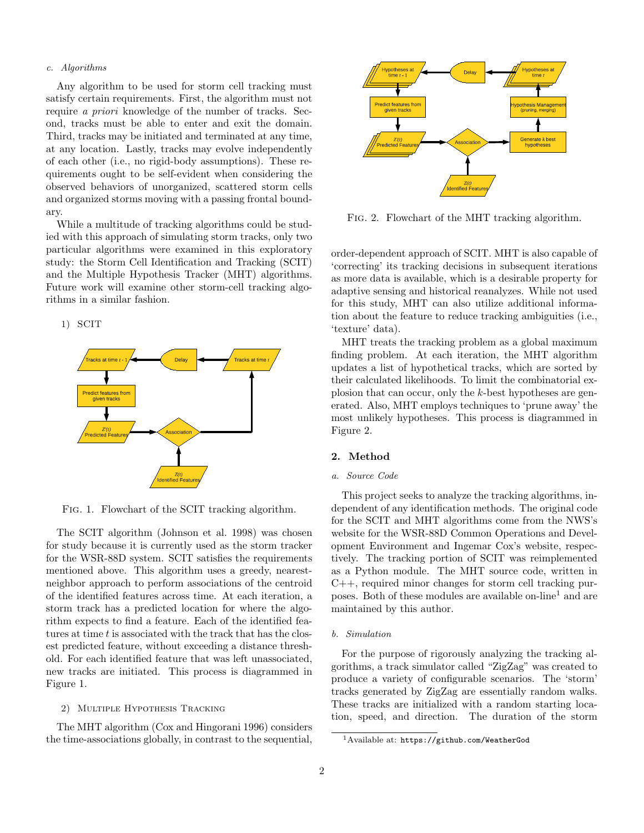#### c. Algorithms

Any algorithm to be used for storm cell tracking must satisfy certain requirements. First, the algorithm must not require a priori knowledge of the number of tracks. Second, tracks must be able to enter and exit the domain. Third, tracks may be initiated and terminated at any time, at any location. Lastly, tracks may evolve independently of each other (i.e., no rigid-body assumptions). These requirements ought to be self-evident when considering the observed behaviors of unorganized, scattered storm cells and organized storms moving with a passing frontal boundary.

While a multitude of tracking algorithms could be studied with this approach of simulating storm tracks, only two particular algorithms were examined in this exploratory study: the Storm Cell Identification and Tracking (SCIT) and the Multiple Hypothesis Tracker (MHT) algorithms. Future work will examine other storm-cell tracking algorithms in a similar fashion.

1) SCIT



Fig. 1. Flowchart of the SCIT tracking algorithm.

The SCIT algorithm (Johnson et al. 1998) was chosen for study because it is currently used as the storm tracker for the WSR-88D system. SCIT satisfies the requirements mentioned above. This algorithm uses a greedy, nearestneighbor approach to perform associations of the centroid of the identified features across time. At each iteration, a storm track has a predicted location for where the algorithm expects to find a feature. Each of the identified features at time  $t$  is associated with the track that has the closest predicted feature, without exceeding a distance threshold. For each identified feature that was left unassociated, new tracks are initiated. This process is diagrammed in Figure 1.

# 2) Multiple Hypothesis Tracking

The MHT algorithm (Cox and Hingorani 1996) considers the time-associations globally, in contrast to the sequential,



Fig. 2. Flowchart of the MHT tracking algorithm.

order-dependent approach of SCIT. MHT is also capable of 'correcting' its tracking decisions in subsequent iterations as more data is available, which is a desirable property for adaptive sensing and historical reanalyzes. While not used for this study, MHT can also utilize additional information about the feature to reduce tracking ambiguities (i.e., 'texture' data).

MHT treats the tracking problem as a global maximum finding problem. At each iteration, the MHT algorithm updates a list of hypothetical tracks, which are sorted by their calculated likelihoods. To limit the combinatorial explosion that can occur, only the k-best hypotheses are generated. Also, MHT employs techniques to 'prune away' the most unlikely hypotheses. This process is diagrammed in Figure 2.

# 2. Method

## a. Source Code

This project seeks to analyze the tracking algorithms, independent of any identification methods. The original code for the SCIT and MHT algorithms come from the NWS's website for the WSR-88D Common Operations and Development Environment and Ingemar Cox's website, respectively. The tracking portion of SCIT was reimplemented as a Python module. The MHT source code, written in C++, required minor changes for storm cell tracking purposes. Both of these modules are available on-line<sup>1</sup> and are maintained by this author.

#### b. Simulation

For the purpose of rigorously analyzing the tracking algorithms, a track simulator called "ZigZag" was created to produce a variety of configurable scenarios. The 'storm' tracks generated by ZigZag are essentially random walks. These tracks are initialized with a random starting location, speed, and direction. The duration of the storm

<sup>1</sup>Available at: https://github.com/WeatherGod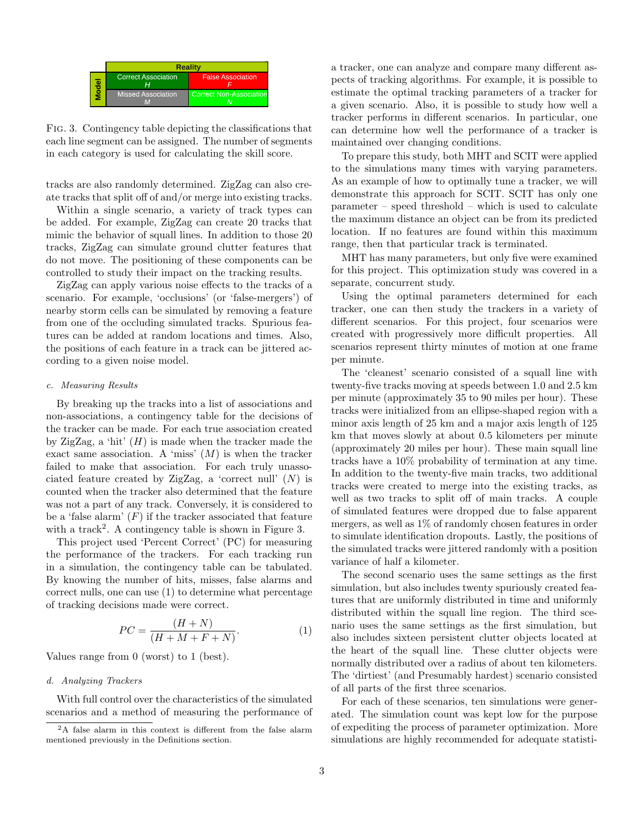|  | <b>Reality</b>             |                                |
|--|----------------------------|--------------------------------|
|  | <b>Correct Association</b> | <b>False Association</b>       |
|  | <b>Missed Association</b>  | <b>Correct Non-Association</b> |

Fig. 3. Contingency table depicting the classifications that each line segment can be assigned. The number of segments in each category is used for calculating the skill score.

tracks are also randomly determined. ZigZag can also create tracks that split off of and/or merge into existing tracks.

Within a single scenario, a variety of track types can be added. For example, ZigZag can create 20 tracks that mimic the behavior of squall lines. In addition to those 20 tracks, ZigZag can simulate ground clutter features that do not move. The positioning of these components can be controlled to study their impact on the tracking results.

ZigZag can apply various noise effects to the tracks of a scenario. For example, 'occlusions' (or 'false-mergers') of nearby storm cells can be simulated by removing a feature from one of the occluding simulated tracks. Spurious features can be added at random locations and times. Also, the positions of each feature in a track can be jittered according to a given noise model.

#### c. Measuring Results

By breaking up the tracks into a list of associations and non-associations, a contingency table for the decisions of the tracker can be made. For each true association created by ZigZag, a 'hit'  $(H)$  is made when the tracker made the exact same association. A 'miss'  $(M)$  is when the tracker failed to make that association. For each truly unassociated feature created by ZigZag, a 'correct null'  $(N)$  is counted when the tracker also determined that the feature was not a part of any track. Conversely, it is considered to be a 'false alarm'  $(F)$  if the tracker associated that feature with a track<sup>2</sup>. A contingency table is shown in Figure 3.

This project used 'Percent Correct' (PC) for measuring the performance of the trackers. For each tracking run in a simulation, the contingency table can be tabulated. By knowing the number of hits, misses, false alarms and correct nulls, one can use (1) to determine what percentage of tracking decisions made were correct.

$$
PC = \frac{(H+N)}{(H+M+F+N)}.\tag{1}
$$

Values range from 0 (worst) to 1 (best).

#### d. Analyzing Trackers

With full control over the characteristics of the simulated scenarios and a method of measuring the performance of a tracker, one can analyze and compare many different aspects of tracking algorithms. For example, it is possible to estimate the optimal tracking parameters of a tracker for a given scenario. Also, it is possible to study how well a tracker performs in different scenarios. In particular, one can determine how well the performance of a tracker is maintained over changing conditions.

To prepare this study, both MHT and SCIT were applied to the simulations many times with varying parameters. As an example of how to optimally tune a tracker, we will demonstrate this approach for SCIT. SCIT has only one parameter – speed threshold – which is used to calculate the maximum distance an object can be from its predicted location. If no features are found within this maximum range, then that particular track is terminated.

MHT has many parameters, but only five were examined for this project. This optimization study was covered in a separate, concurrent study.

Using the optimal parameters determined for each tracker, one can then study the trackers in a variety of different scenarios. For this project, four scenarios were created with progressively more difficult properties. All scenarios represent thirty minutes of motion at one frame per minute.

The 'cleanest' scenario consisted of a squall line with twenty-five tracks moving at speeds between 1.0 and 2.5 km per minute (approximately 35 to 90 miles per hour). These tracks were initialized from an ellipse-shaped region with a minor axis length of 25 km and a major axis length of 125 km that moves slowly at about 0.5 kilometers per minute (approximately 20 miles per hour). These main squall line tracks have a 10% probability of termination at any time. In addition to the twenty-five main tracks, two additional tracks were created to merge into the existing tracks, as well as two tracks to split off of main tracks. A couple of simulated features were dropped due to false apparent mergers, as well as 1% of randomly chosen features in order to simulate identification dropouts. Lastly, the positions of the simulated tracks were jittered randomly with a position variance of half a kilometer.

The second scenario uses the same settings as the first simulation, but also includes twenty spuriously created features that are uniformly distributed in time and uniformly distributed within the squall line region. The third scenario uses the same settings as the first simulation, but also includes sixteen persistent clutter objects located at the heart of the squall line. These clutter objects were normally distributed over a radius of about ten kilometers. The 'dirtiest' (and Presumably hardest) scenario consisted of all parts of the first three scenarios.

For each of these scenarios, ten simulations were generated. The simulation count was kept low for the purpose of expediting the process of parameter optimization. More simulations are highly recommended for adequate statisti-

<sup>2</sup>A false alarm in this context is different from the false alarm mentioned previously in the Definitions section.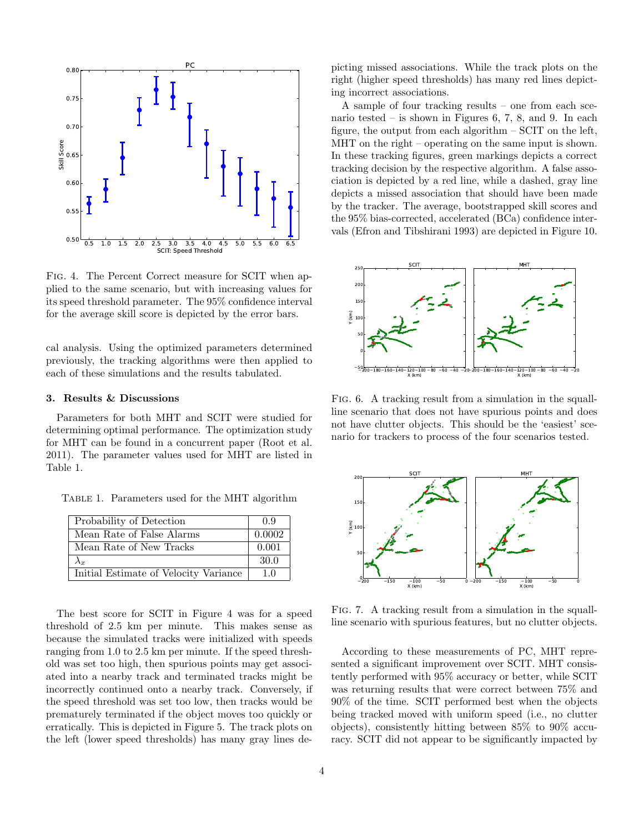

Fig. 4. The Percent Correct measure for SCIT when applied to the same scenario, but with increasing values for its speed threshold parameter. The 95% confidence interval for the average skill score is depicted by the error bars.

cal analysis. Using the optimized parameters determined previously, the tracking algorithms were then applied to each of these simulations and the results tabulated.

#### 3. Results & Discussions

Parameters for both MHT and SCIT were studied for determining optimal performance. The optimization study for MHT can be found in a concurrent paper (Root et al. 2011). The parameter values used for MHT are listed in Table 1.

Table 1. Parameters used for the MHT algorithm

| Probability of Detection              | 0.9    |
|---------------------------------------|--------|
| Mean Rate of False Alarms             | 0.0002 |
| Mean Rate of New Tracks               | 0.001  |
| $\Lambda_T$                           | 30.0   |
| Initial Estimate of Velocity Variance | 10     |

The best score for SCIT in Figure 4 was for a speed threshold of 2.5 km per minute. This makes sense as because the simulated tracks were initialized with speeds ranging from 1.0 to 2.5 km per minute. If the speed threshold was set too high, then spurious points may get associated into a nearby track and terminated tracks might be incorrectly continued onto a nearby track. Conversely, if the speed threshold was set too low, then tracks would be prematurely terminated if the object moves too quickly or erratically. This is depicted in Figure 5. The track plots on the left (lower speed thresholds) has many gray lines depicting missed associations. While the track plots on the right (higher speed thresholds) has many red lines depicting incorrect associations.

A sample of four tracking results – one from each scenario tested – is shown in Figures 6, 7, 8, and 9. In each figure, the output from each algorithm  $-$  SCIT on the left, MHT on the right – operating on the same input is shown. In these tracking figures, green markings depicts a correct tracking decision by the respective algorithm. A false association is depicted by a red line, while a dashed, gray line depicts a missed association that should have been made by the tracker. The average, bootstrapped skill scores and the 95% bias-corrected, accelerated (BCa) confidence intervals (Efron and Tibshirani 1993) are depicted in Figure 10.



Fig. 6. A tracking result from a simulation in the squallline scenario that does not have spurious points and does not have clutter objects. This should be the 'easiest' scenario for trackers to process of the four scenarios tested.



Fig. 7. A tracking result from a simulation in the squallline scenario with spurious features, but no clutter objects.

According to these measurements of PC, MHT represented a significant improvement over SCIT. MHT consistently performed with 95% accuracy or better, while SCIT was returning results that were correct between 75% and 90% of the time. SCIT performed best when the objects being tracked moved with uniform speed (i.e., no clutter objects), consistently hitting between 85% to 90% accuracy. SCIT did not appear to be significantly impacted by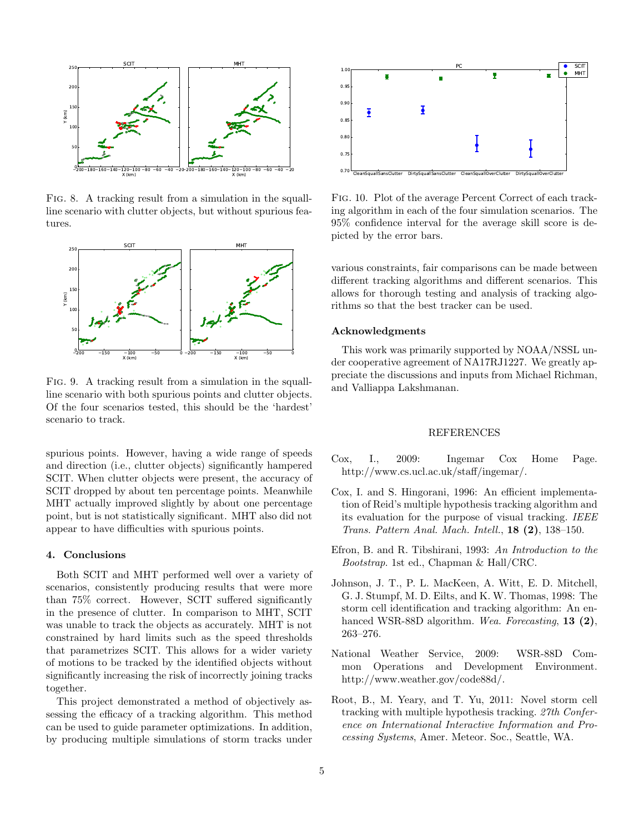

Fig. 8. A tracking result from a simulation in the squallline scenario with clutter objects, but without spurious features.



Fig. 9. A tracking result from a simulation in the squallline scenario with both spurious points and clutter objects. Of the four scenarios tested, this should be the 'hardest' scenario to track.

spurious points. However, having a wide range of speeds and direction (i.e., clutter objects) significantly hampered SCIT. When clutter objects were present, the accuracy of SCIT dropped by about ten percentage points. Meanwhile MHT actually improved slightly by about one percentage point, but is not statistically significant. MHT also did not appear to have difficulties with spurious points.

## 4. Conclusions

Both SCIT and MHT performed well over a variety of scenarios, consistently producing results that were more than 75% correct. However, SCIT suffered significantly in the presence of clutter. In comparison to MHT, SCIT was unable to track the objects as accurately. MHT is not constrained by hard limits such as the speed thresholds that parametrizes SCIT. This allows for a wider variety of motions to be tracked by the identified objects without significantly increasing the risk of incorrectly joining tracks together.

This project demonstrated a method of objectively assessing the efficacy of a tracking algorithm. This method can be used to guide parameter optimizations. In addition, by producing multiple simulations of storm tracks under



Fig. 10. Plot of the average Percent Correct of each tracking algorithm in each of the four simulation scenarios. The 95% confidence interval for the average skill score is depicted by the error bars.

various constraints, fair comparisons can be made between different tracking algorithms and different scenarios. This allows for thorough testing and analysis of tracking algorithms so that the best tracker can be used.

## Acknowledgments

This work was primarily supported by NOAA/NSSL under cooperative agreement of NA17RJ1227. We greatly appreciate the discussions and inputs from Michael Richman, and Valliappa Lakshmanan.

#### REFERENCES

- Cox, I., 2009: Ingemar Cox Home Page. http://www.cs.ucl.ac.uk/staff/ingemar/.
- Cox, I. and S. Hingorani, 1996: An efficient implementation of Reid's multiple hypothesis tracking algorithm and its evaluation for the purpose of visual tracking. IEEE Trans. Pattern Anal. Mach. Intell., 18 (2), 138–150.
- Efron, B. and R. Tibshirani, 1993: An Introduction to the Bootstrap. 1st ed., Chapman & Hall/CRC.
- Johnson, J. T., P. L. MacKeen, A. Witt, E. D. Mitchell, G. J. Stumpf, M. D. Eilts, and K. W. Thomas, 1998: The storm cell identification and tracking algorithm: An enhanced WSR-88D algorithm. Wea. Forecasting, 13 (2), 263–276.
- National Weather Service, 2009: WSR-88D Common Operations and Development Environment. http://www.weather.gov/code88d/.
- Root, B., M. Yeary, and T. Yu, 2011: Novel storm cell tracking with multiple hypothesis tracking. 27th Conference on International Interactive Information and Processing Systems, Amer. Meteor. Soc., Seattle, WA.